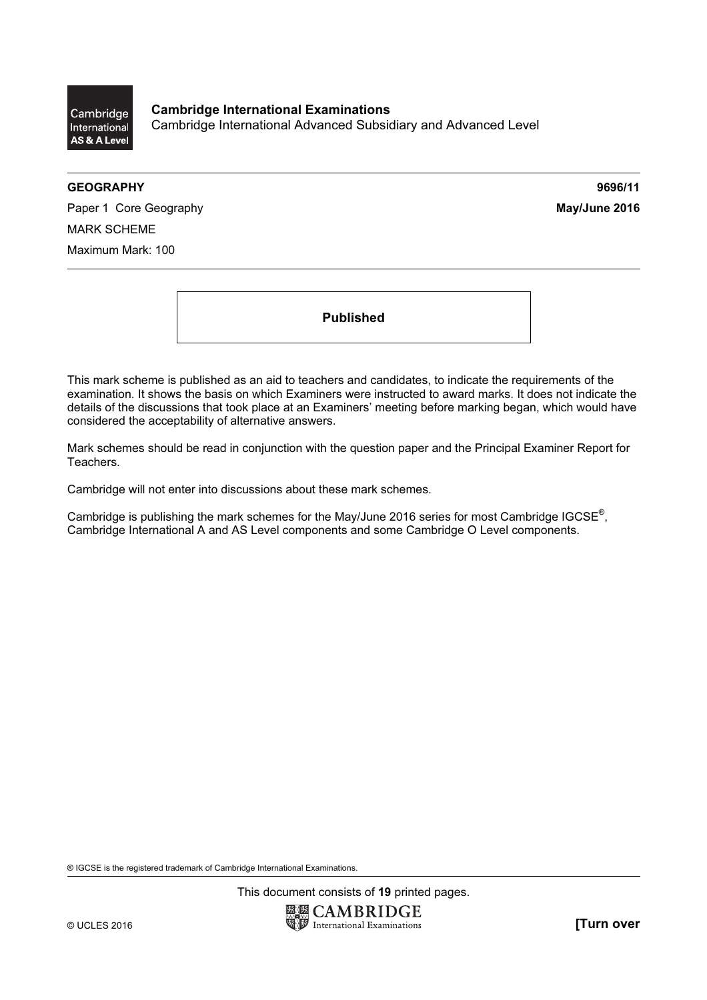

Cambridge International Examinations Cambridge International Advanced Subsidiary and Advanced Level

#### GEOGRAPHY 9696/11

Paper 1 Core Geography **May/June 2016** MARK SCHEME Maximum Mark: 100

Published

This mark scheme is published as an aid to teachers and candidates, to indicate the requirements of the examination. It shows the basis on which Examiners were instructed to award marks. It does not indicate the details of the discussions that took place at an Examiners' meeting before marking began, which would have considered the acceptability of alternative answers.

Mark schemes should be read in conjunction with the question paper and the Principal Examiner Report for Teachers.

Cambridge will not enter into discussions about these mark schemes.

Cambridge is publishing the mark schemes for the May/June 2016 series for most Cambridge IGCSE*®* , Cambridge International A and AS Level components and some Cambridge O Level components.

® IGCSE is the registered trademark of Cambridge International Examinations.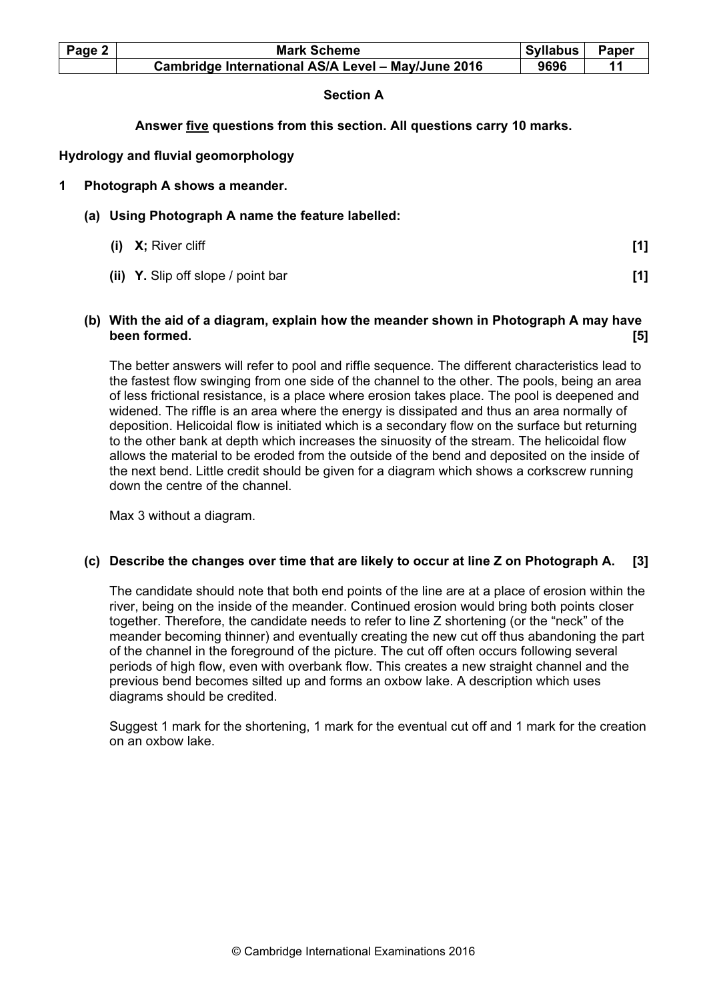| Page 2 | <b>Mark Scheme</b>                                 | Syllabus | Paper |
|--------|----------------------------------------------------|----------|-------|
|        | Cambridge International AS/A Level - May/June 2016 | 9696     |       |

# Section A

# Answer five questions from this section. All questions carry 10 marks.

### Hydrology and fluvial geomorphology

### 1 Photograph A shows a meander.

- (a) Using Photograph A name the feature labelled:
	- (i)  $X$ ; River cliff  $\qquad \qquad$  [1]
	-

(ii) Y. Slip off slope / point bar [1]

## (b) With the aid of a diagram, explain how the meander shown in Photograph A may have been formed. [5]

The better answers will refer to pool and riffle sequence. The different characteristics lead to the fastest flow swinging from one side of the channel to the other. The pools, being an area of less frictional resistance, is a place where erosion takes place. The pool is deepened and widened. The riffle is an area where the energy is dissipated and thus an area normally of deposition. Helicoidal flow is initiated which is a secondary flow on the surface but returning to the other bank at depth which increases the sinuosity of the stream. The helicoidal flow allows the material to be eroded from the outside of the bend and deposited on the inside of the next bend. Little credit should be given for a diagram which shows a corkscrew running down the centre of the channel.

Max 3 without a diagram.

## (c) Describe the changes over time that are likely to occur at line Z on Photograph A. [3]

The candidate should note that both end points of the line are at a place of erosion within the river, being on the inside of the meander. Continued erosion would bring both points closer together. Therefore, the candidate needs to refer to line Z shortening (or the "neck" of the meander becoming thinner) and eventually creating the new cut off thus abandoning the part of the channel in the foreground of the picture. The cut off often occurs following several periods of high flow, even with overbank flow. This creates a new straight channel and the previous bend becomes silted up and forms an oxbow lake. A description which uses diagrams should be credited.

Suggest 1 mark for the shortening, 1 mark for the eventual cut off and 1 mark for the creation on an oxbow lake.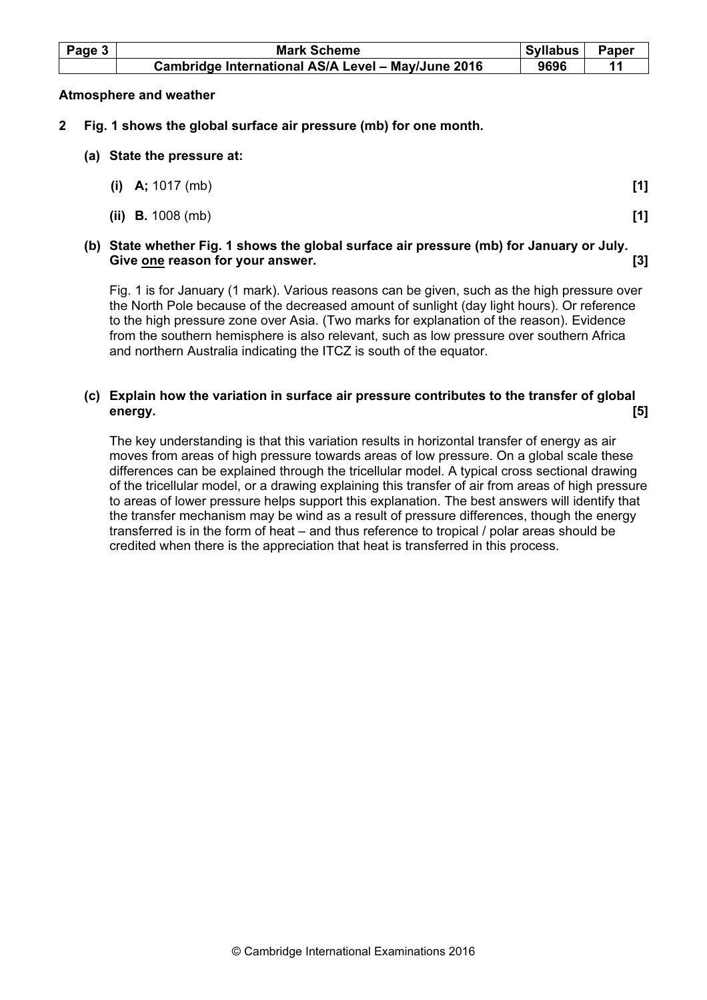| Page 3 | <b>Mark Scheme</b>                                 | <b>Syllabus</b> | Paper |
|--------|----------------------------------------------------|-----------------|-------|
|        | Cambridge International AS/A Level - May/June 2016 | 9696            |       |

### Atmosphere and weather

- 2 Fig. 1 shows the global surface air pressure (mb) for one month.
	- (a) State the pressure at:

| (i) A; $1017$ (mb)         | [1] |
|----------------------------|-----|
| (ii) <b>B.</b> $1008$ (mb) |     |

# (b) State whether Fig. 1 shows the global surface air pressure (mb) for January or July. Give one reason for your answer. **Example 20** and the set of the set of the set of the set of the set of the set o

Fig. 1 is for January (1 mark). Various reasons can be given, such as the high pressure over the North Pole because of the decreased amount of sunlight (day light hours). Or reference to the high pressure zone over Asia. (Two marks for explanation of the reason). Evidence from the southern hemisphere is also relevant, such as low pressure over southern Africa and northern Australia indicating the ITCZ is south of the equator.

# (c) Explain how the variation in surface air pressure contributes to the transfer of global energy. [5]

The key understanding is that this variation results in horizontal transfer of energy as air moves from areas of high pressure towards areas of low pressure. On a global scale these differences can be explained through the tricellular model. A typical cross sectional drawing of the tricellular model, or a drawing explaining this transfer of air from areas of high pressure to areas of lower pressure helps support this explanation. The best answers will identify that the transfer mechanism may be wind as a result of pressure differences, though the energy transferred is in the form of heat – and thus reference to tropical / polar areas should be credited when there is the appreciation that heat is transferred in this process.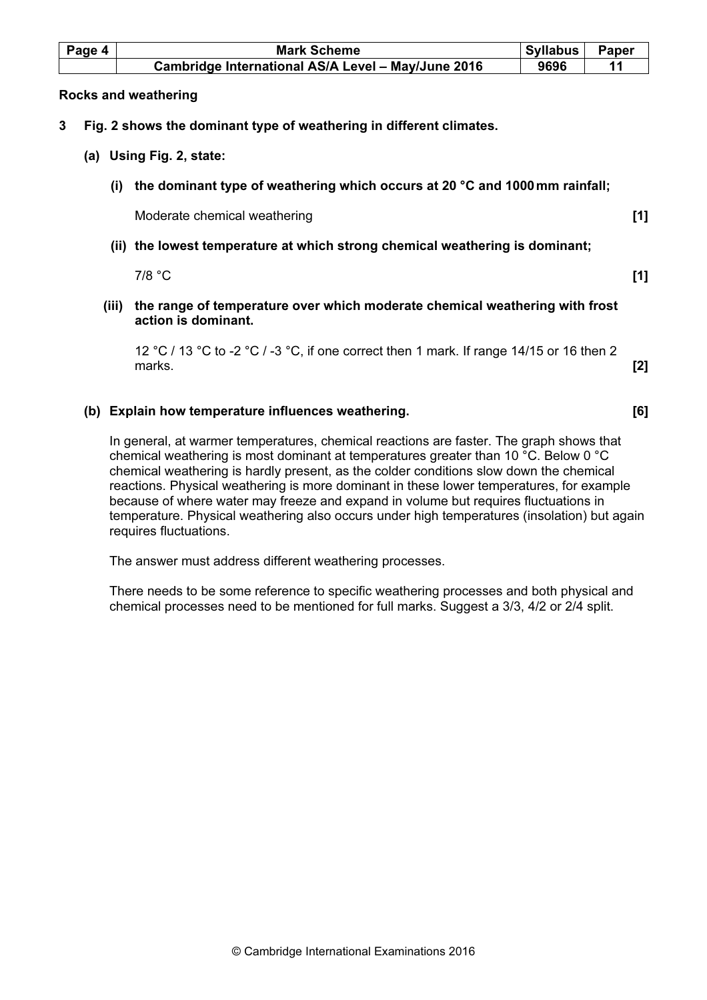| Page 4 | <b>Mark Scheme</b>                                                                                 | <b>Syllabus</b> | Paper |
|--------|----------------------------------------------------------------------------------------------------|-----------------|-------|
|        | Cambridge International AS/A Level - May/June 2016                                                 | 9696            | 11    |
|        | <b>Rocks and weathering</b>                                                                        |                 |       |
| 3      | Fig. 2 shows the dominant type of weathering in different climates.                                |                 |       |
|        | (a) Using Fig. 2, state:                                                                           |                 |       |
| (i)    | the dominant type of weathering which occurs at 20 °C and 1000 mm rainfall;                        |                 |       |
|        | Moderate chemical weathering                                                                       |                 | [1]   |
|        | (ii) the lowest temperature at which strong chemical weathering is dominant;                       |                 |       |
|        | $7/8$ °C                                                                                           |                 | [1]   |
| (iii)  | the range of temperature over which moderate chemical weathering with frost<br>action is dominant. |                 |       |
|        | 12 °C / 13 °C to -2 °C / -3 °C, if one correct then 1 mark. If range 14/15 or 16 then 2<br>marks.  |                 | [2]   |
|        |                                                                                                    |                 |       |

# In general, at warmer temperatures, chemical reactions are faster. The graph shows that chemical weathering is most dominant at temperatures greater than 10 °C. Below 0 °C chemical weathering is hardly present, as the colder conditions slow down the chemical reactions. Physical weathering is more dominant in these lower temperatures, for example because of where water may freeze and expand in volume but requires fluctuations in

(b) Explain how temperature influences weathering. [6]

The answer must address different weathering processes.

requires fluctuations.

There needs to be some reference to specific weathering processes and both physical and chemical processes need to be mentioned for full marks. Suggest a 3/3, 4/2 or 2/4 split.

temperature. Physical weathering also occurs under high temperatures (insolation) but again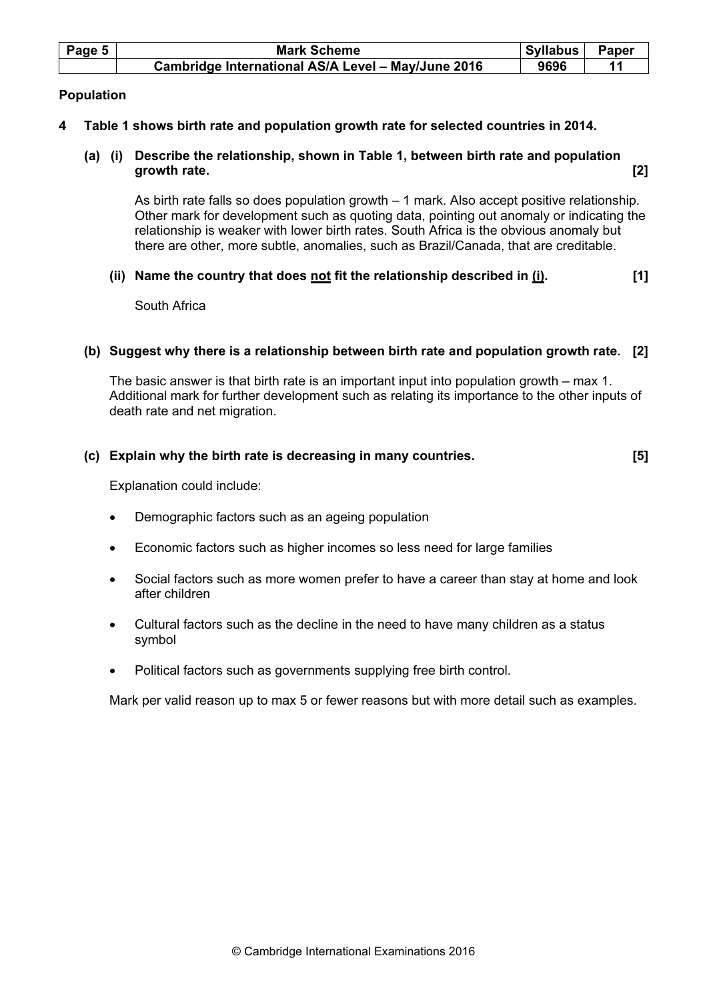| Page 5 | <b>Mark Scheme</b>                                 | Syllabus | Paper |
|--------|----------------------------------------------------|----------|-------|
|        | Cambridge International AS/A Level - May/June 2016 | 9696     |       |

## Population

# 4 Table 1 shows birth rate and population growth rate for selected countries in 2014.

 (a) (i) Describe the relationship, shown in Table 1, between birth rate and population growth rate. [2] **growth** rate.

As birth rate falls so does population growth – 1 mark. Also accept positive relationship. Other mark for development such as quoting data, pointing out anomaly or indicating the relationship is weaker with lower birth rates. South Africa is the obvious anomaly but there are other, more subtle, anomalies, such as Brazil/Canada, that are creditable.

# (ii) Name the country that does not fit the relationship described in  $(i)$ . [1]

South Africa

## (b) Suggest why there is a relationship between birth rate and population growth rate. [2]

The basic answer is that birth rate is an important input into population growth – max 1. Additional mark for further development such as relating its importance to the other inputs of death rate and net migration.

## (c) Explain why the birth rate is decreasing in many countries. [5]

Explanation could include:

- Demographic factors such as an ageing population
- Economic factors such as higher incomes so less need for large families
- Social factors such as more women prefer to have a career than stay at home and look after children
- Cultural factors such as the decline in the need to have many children as a status symbol
- Political factors such as governments supplying free birth control.

Mark per valid reason up to max 5 or fewer reasons but with more detail such as examples.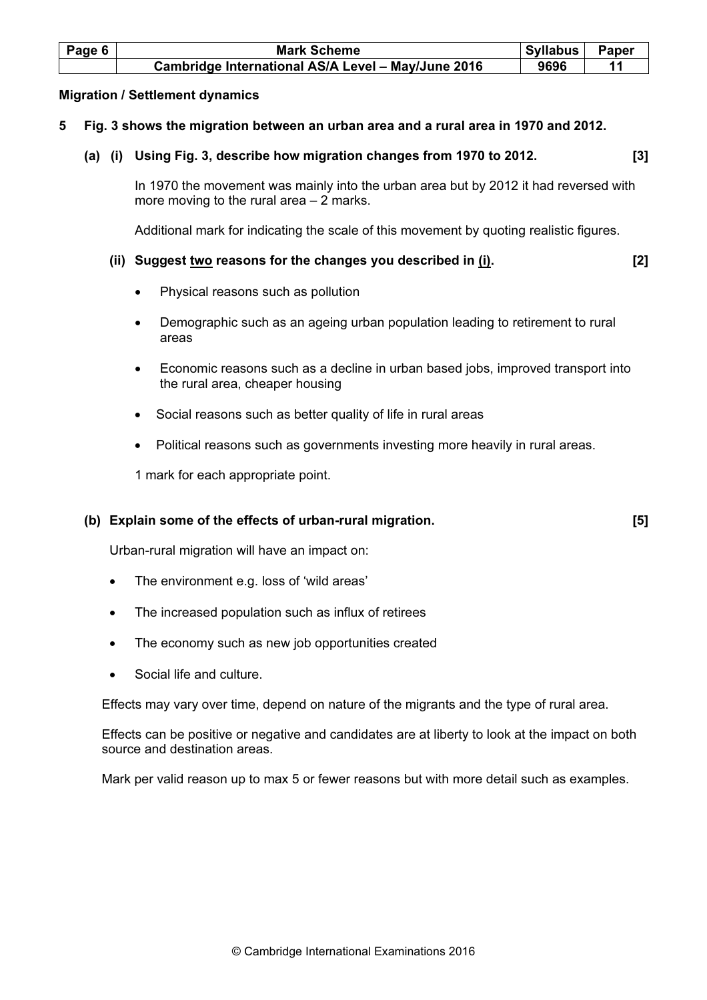| Page 6 | <b>Mark Scheme</b>                                 | Syllabus | Paper |
|--------|----------------------------------------------------|----------|-------|
|        | Cambridge International AS/A Level - May/June 2016 | 9696     |       |

### Migration / Settlement dynamics

- 5 Fig. 3 shows the migration between an urban area and a rural area in 1970 and 2012.
	- (a) (i) Using Fig. 3, describe how migration changes from 1970 to 2012. [3]

In 1970 the movement was mainly into the urban area but by 2012 it had reversed with more moving to the rural area – 2 marks.

Additional mark for indicating the scale of this movement by quoting realistic figures.

## (ii) Suggest two reasons for the changes you described in  $(i)$ . [2]

- Physical reasons such as pollution
- Demographic such as an ageing urban population leading to retirement to rural areas
- Economic reasons such as a decline in urban based jobs, improved transport into the rural area, cheaper housing
- Social reasons such as better quality of life in rural areas
- Political reasons such as governments investing more heavily in rural areas.

1 mark for each appropriate point.

### (b) Explain some of the effects of urban-rural migration. [5]

Urban-rural migration will have an impact on:

- The environment e.g. loss of 'wild areas'
- The increased population such as influx of retirees
- The economy such as new job opportunities created
- Social life and culture.

Effects may vary over time, depend on nature of the migrants and the type of rural area.

Effects can be positive or negative and candidates are at liberty to look at the impact on both source and destination areas.

Mark per valid reason up to max 5 or fewer reasons but with more detail such as examples.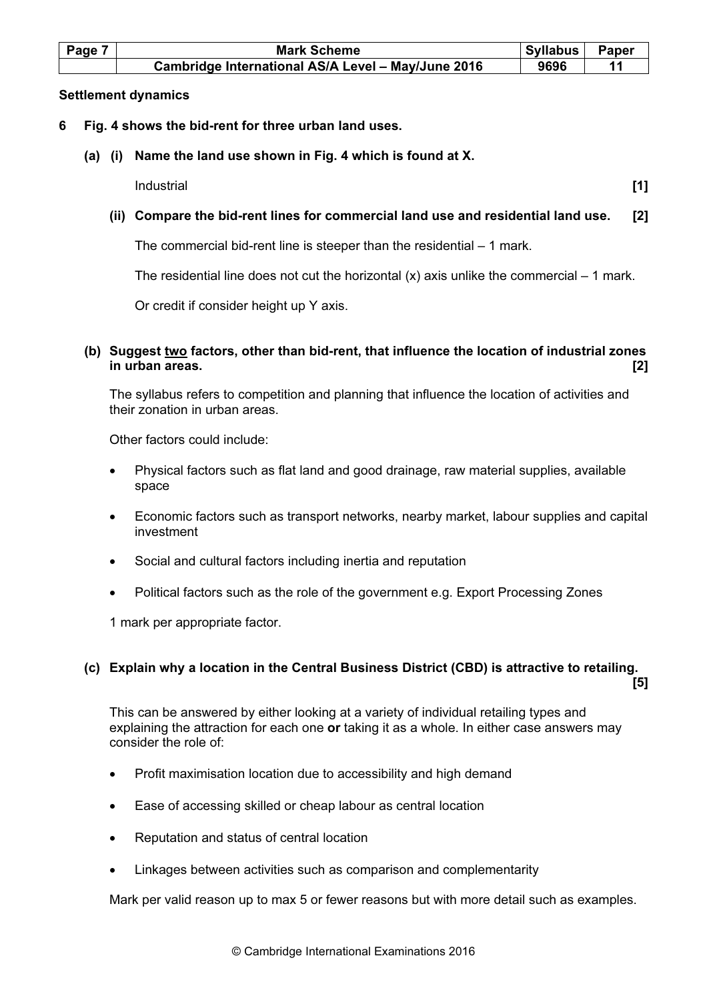| Page 7 | <b>Mark Scheme</b>                                 | Syllabus | Paper |
|--------|----------------------------------------------------|----------|-------|
|        | Cambridge International AS/A Level - May/June 2016 | 9696     |       |

### Settlement dynamics

- 6 Fig. 4 shows the bid-rent for three urban land uses.
	- (a) (i) Name the land use shown in Fig. 4 which is found at X.

Industrial [1]

# (ii) Compare the bid-rent lines for commercial land use and residential land use. [2]

The commercial bid-rent line is steeper than the residential – 1 mark.

The residential line does not cut the horizontal  $(x)$  axis unlike the commercial – 1 mark.

Or credit if consider height up Y axis.

## (b) Suggest two factors, other than bid-rent, that influence the location of industrial zones in urban areas. [2]

The syllabus refers to competition and planning that influence the location of activities and their zonation in urban areas.

Other factors could include:

- Physical factors such as flat land and good drainage, raw material supplies, available space
- Economic factors such as transport networks, nearby market, labour supplies and capital investment
- Social and cultural factors including inertia and reputation
- Political factors such as the role of the government e.g. Export Processing Zones

1 mark per appropriate factor.

consider the role of:

# (c) Explain why a location in the Central Business District (CBD) is attractive to retailing.

 $[5]$ This can be answered by either looking at a variety of individual retailing types and explaining the attraction for each one or taking it as a whole. In either case answers may

- Profit maximisation location due to accessibility and high demand
- Ease of accessing skilled or cheap labour as central location
- Reputation and status of central location
- Linkages between activities such as comparison and complementarity

Mark per valid reason up to max 5 or fewer reasons but with more detail such as examples.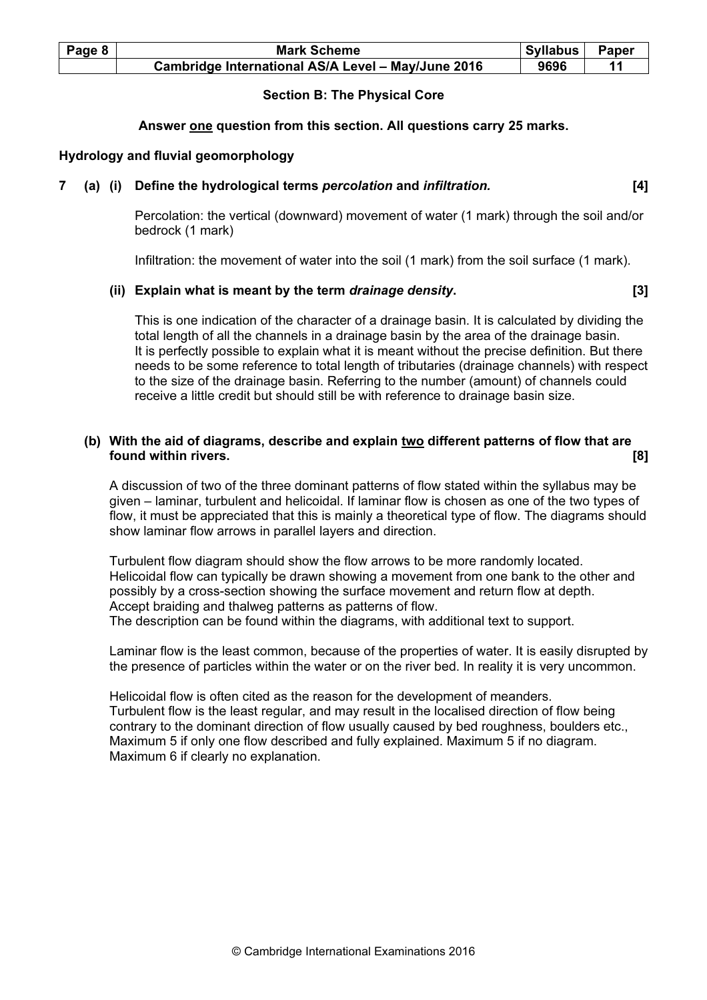| Page 8 | <b>Mark Scheme</b>                                 | Syllabus | Paper |
|--------|----------------------------------------------------|----------|-------|
|        | Cambridge International AS/A Level - May/June 2016 | 9696     |       |

## Section B: The Physical Core

### Answer one question from this section. All questions carry 25 marks.

### Hydrology and fluvial geomorphology

### 7 (a) (i) Define the hydrological terms percolation and infiltration. [4]

Percolation: the vertical (downward) movement of water (1 mark) through the soil and/or bedrock (1 mark)

Infiltration: the movement of water into the soil (1 mark) from the soil surface (1 mark).

### (ii) Explain what is meant by the term drainage density. The same state of  $[3]$

This is one indication of the character of a drainage basin. It is calculated by dividing the total length of all the channels in a drainage basin by the area of the drainage basin. It is perfectly possible to explain what it is meant without the precise definition. But there needs to be some reference to total length of tributaries (drainage channels) with respect to the size of the drainage basin. Referring to the number (amount) of channels could receive a little credit but should still be with reference to drainage basin size.

## (b) With the aid of diagrams, describe and explain two different patterns of flow that are found within rivers. [8]

A discussion of two of the three dominant patterns of flow stated within the syllabus may be given – laminar, turbulent and helicoidal. If laminar flow is chosen as one of the two types of flow, it must be appreciated that this is mainly a theoretical type of flow. The diagrams should show laminar flow arrows in parallel layers and direction.

Turbulent flow diagram should show the flow arrows to be more randomly located. Helicoidal flow can typically be drawn showing a movement from one bank to the other and possibly by a cross-section showing the surface movement and return flow at depth. Accept braiding and thalweg patterns as patterns of flow. The description can be found within the diagrams, with additional text to support.

Laminar flow is the least common, because of the properties of water. It is easily disrupted by the presence of particles within the water or on the river bed. In reality it is very uncommon.

Helicoidal flow is often cited as the reason for the development of meanders. Turbulent flow is the least regular, and may result in the localised direction of flow being contrary to the dominant direction of flow usually caused by bed roughness, boulders etc., Maximum 5 if only one flow described and fully explained. Maximum 5 if no diagram. Maximum 6 if clearly no explanation.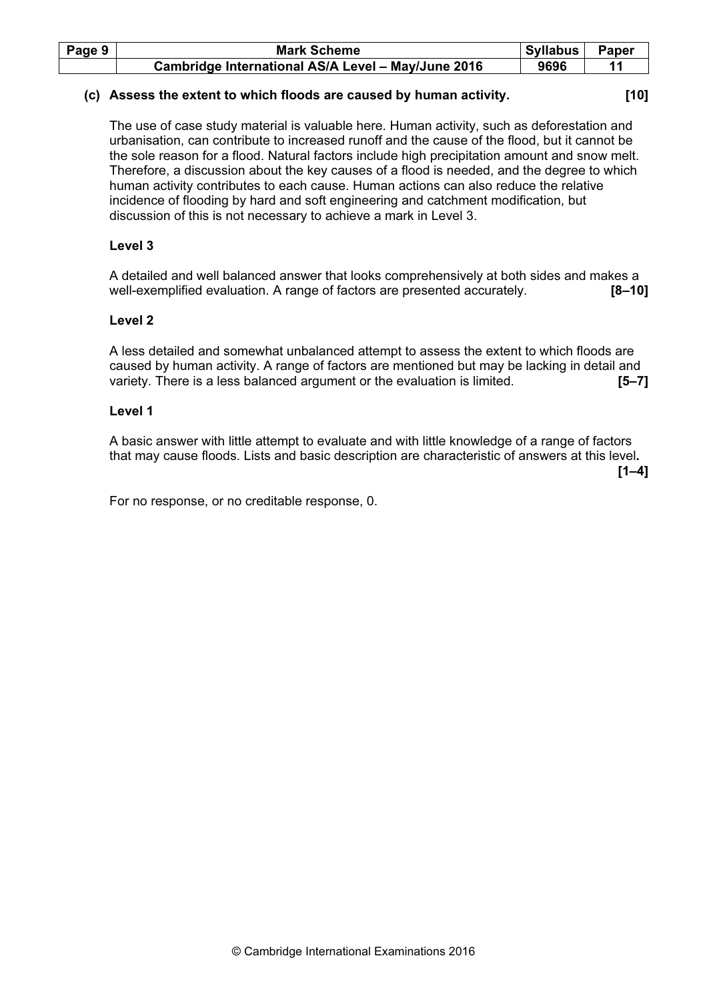| Page 9 | <b>Mark Scheme</b>                                 | <b>Syllabus</b> | Paper |
|--------|----------------------------------------------------|-----------------|-------|
|        | Cambridge International AS/A Level - May/June 2016 | 9696            |       |

### (c) Assess the extent to which floods are caused by human activity. [10]

The use of case study material is valuable here. Human activity, such as deforestation and urbanisation, can contribute to increased runoff and the cause of the flood, but it cannot be the sole reason for a flood. Natural factors include high precipitation amount and snow melt. Therefore, a discussion about the key causes of a flood is needed, and the degree to which human activity contributes to each cause. Human actions can also reduce the relative incidence of flooding by hard and soft engineering and catchment modification, but discussion of this is not necessary to achieve a mark in Level 3.

# Level 3

A detailed and well balanced answer that looks comprehensively at both sides and makes a well-exemplified evaluation. A range of factors are presented accurately. **[8-10]** 

## Level 2

 A less detailed and somewhat unbalanced attempt to assess the extent to which floods are caused by human activity. A range of factors are mentioned but may be lacking in detail and variety. There is a less balanced argument or the evaluation is limited. [5–7]

## Level 1

A basic answer with little attempt to evaluate and with little knowledge of a range of factors that may cause floods. Lists and basic description are characteristic of answers at this level.  $[1-4]$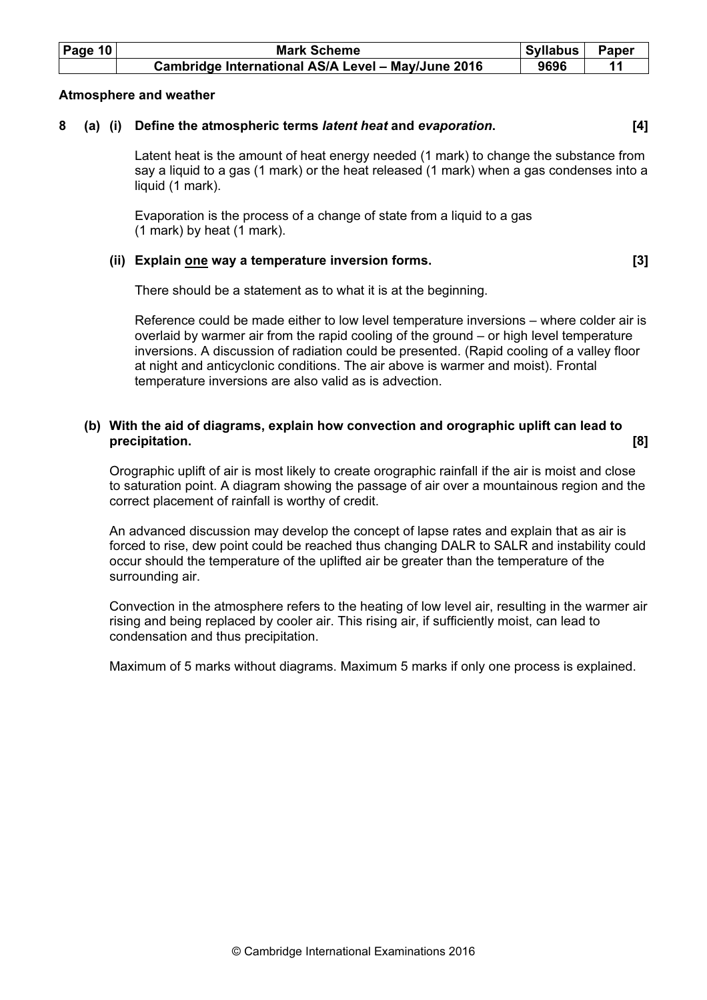| Page $10$ | <b>Mark Scheme</b>                                 | Syllabus | Paper |
|-----------|----------------------------------------------------|----------|-------|
|           | Cambridge International AS/A Level - May/June 2016 | 9696     |       |

### Atmosphere and weather

# 8 (a) (i) Define the atmospheric terms *latent heat* and evaporation. [4]

Latent heat is the amount of heat energy needed (1 mark) to change the substance from say a liquid to a gas (1 mark) or the heat released (1 mark) when a gas condenses into a liquid (1 mark).

Evaporation is the process of a change of state from a liquid to a gas (1 mark) by heat (1 mark).

### (ii) Explain <u>one</u> way a temperature inversion forms. [3]

There should be a statement as to what it is at the beginning.

Reference could be made either to low level temperature inversions – where colder air is overlaid by warmer air from the rapid cooling of the ground – or high level temperature inversions. A discussion of radiation could be presented. (Rapid cooling of a valley floor at night and anticyclonic conditions. The air above is warmer and moist). Frontal temperature inversions are also valid as is advection.

### (b) With the aid of diagrams, explain how convection and orographic uplift can lead to precipitation. [8] **precipitation** and the contract of the contract of the contract of the contract of the contract of the contract of the contract of the contract of the contract of the contract of the contract of the con

Orographic uplift of air is most likely to create orographic rainfall if the air is moist and close to saturation point. A diagram showing the passage of air over a mountainous region and the correct placement of rainfall is worthy of credit.

An advanced discussion may develop the concept of lapse rates and explain that as air is forced to rise, dew point could be reached thus changing DALR to SALR and instability could occur should the temperature of the uplifted air be greater than the temperature of the surrounding air.

Convection in the atmosphere refers to the heating of low level air, resulting in the warmer air rising and being replaced by cooler air. This rising air, if sufficiently moist, can lead to condensation and thus precipitation.

Maximum of 5 marks without diagrams. Maximum 5 marks if only one process is explained.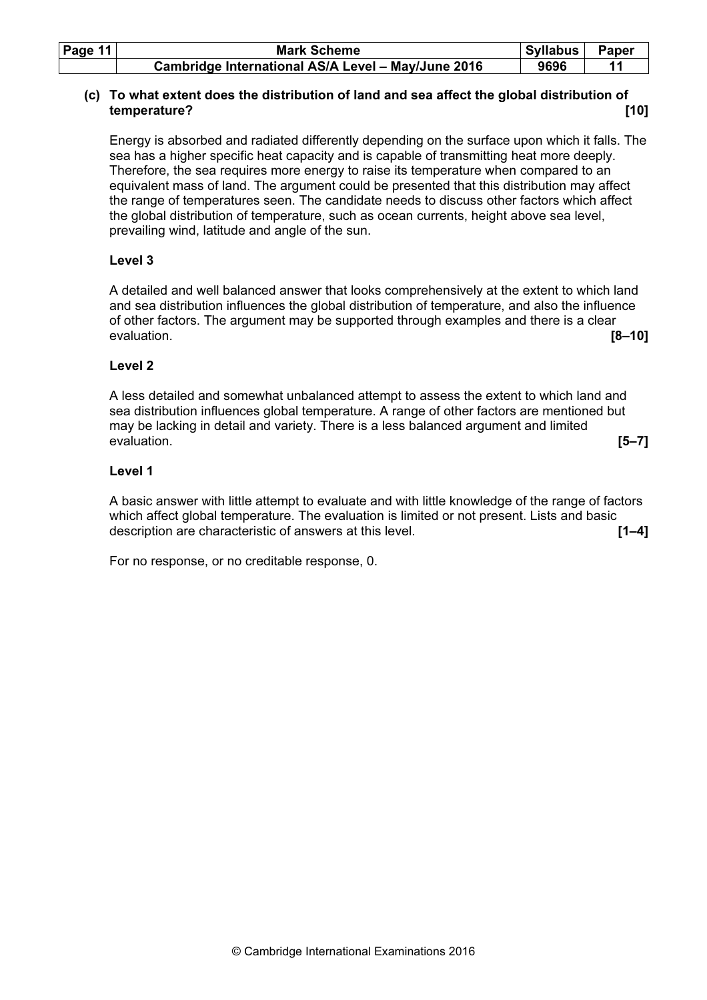| Page $11$ | <b>Mark Scheme</b>                                 | Syllabus | Paper |
|-----------|----------------------------------------------------|----------|-------|
|           | Cambridge International AS/A Level - May/June 2016 | 9696     |       |

## (c) To what extent does the distribution of land and sea affect the global distribution of temperature? [10]

Energy is absorbed and radiated differently depending on the surface upon which it falls. The sea has a higher specific heat capacity and is capable of transmitting heat more deeply. Therefore, the sea requires more energy to raise its temperature when compared to an equivalent mass of land. The argument could be presented that this distribution may affect the range of temperatures seen. The candidate needs to discuss other factors which affect the global distribution of temperature, such as ocean currents, height above sea level, prevailing wind, latitude and angle of the sun.

## Level 3

 A detailed and well balanced answer that looks comprehensively at the extent to which land and sea distribution influences the global distribution of temperature, and also the influence of other factors. The argument may be supported through examples and there is a clear evaluation. [8–10]

## Level 2

A less detailed and somewhat unbalanced attempt to assess the extent to which land and sea distribution influences global temperature. A range of other factors are mentioned but may be lacking in detail and variety. There is a less balanced argument and limited evaluation. [5–7]

## Level 1

A basic answer with little attempt to evaluate and with little knowledge of the range of factors which affect global temperature. The evaluation is limited or not present. Lists and basic description are characteristic of answers at this level. **[1–4] [1–4]**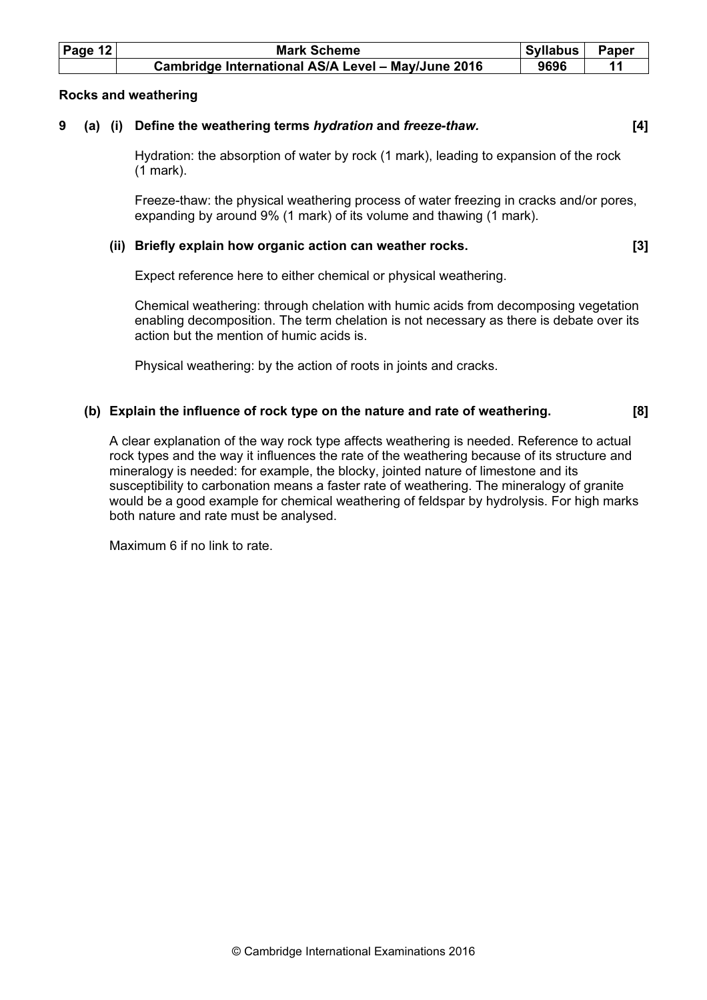| Page $12$ | <b>Mark Scheme</b>                                 | Syllabus | Paper |
|-----------|----------------------------------------------------|----------|-------|
|           | Cambridge International AS/A Level - May/June 2016 | 9696     |       |

### Rocks and weathering

# 9 (a) (i) Define the weathering terms *hydration* and *freeze-thaw*.  $[4]$

Hydration: the absorption of water by rock (1 mark), leading to expansion of the rock (1 mark).

Freeze-thaw: the physical weathering process of water freezing in cracks and/or pores, expanding by around 9% (1 mark) of its volume and thawing (1 mark).

### (ii) Briefly explain how organic action can weather rocks. [3]

Expect reference here to either chemical or physical weathering.

Chemical weathering: through chelation with humic acids from decomposing vegetation enabling decomposition. The term chelation is not necessary as there is debate over its action but the mention of humic acids is.

Physical weathering: by the action of roots in joints and cracks.

### (b) Explain the influence of rock type on the nature and rate of weathering. [8]

A clear explanation of the way rock type affects weathering is needed. Reference to actual rock types and the way it influences the rate of the weathering because of its structure and mineralogy is needed: for example, the blocky, jointed nature of limestone and its susceptibility to carbonation means a faster rate of weathering. The mineralogy of granite would be a good example for chemical weathering of feldspar by hydrolysis. For high marks both nature and rate must be analysed.

Maximum 6 if no link to rate.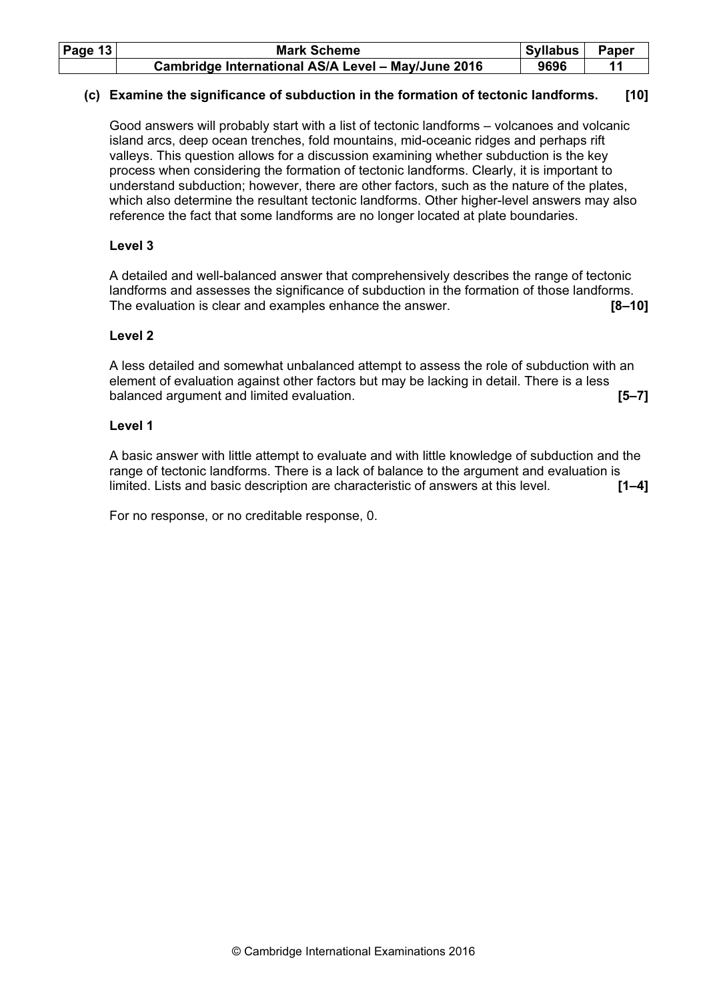| Page $13$ | <b>Mark Scheme</b>                                 | Syllabus | Paper |
|-----------|----------------------------------------------------|----------|-------|
|           | Cambridge International AS/A Level - May/June 2016 | 9696     |       |

## (c) Examine the significance of subduction in the formation of tectonic landforms. [10]

Good answers will probably start with a list of tectonic landforms – volcanoes and volcanic island arcs, deep ocean trenches, fold mountains, mid-oceanic ridges and perhaps rift valleys. This question allows for a discussion examining whether subduction is the key process when considering the formation of tectonic landforms. Clearly, it is important to understand subduction; however, there are other factors, such as the nature of the plates, which also determine the resultant tectonic landforms. Other higher-level answers may also reference the fact that some landforms are no longer located at plate boundaries.

### Level 3

A detailed and well-balanced answer that comprehensively describes the range of tectonic landforms and assesses the significance of subduction in the formation of those landforms. The evaluation is clear and examples enhance the answer. **[8–10]** [8–10]

### Level 2

A less detailed and somewhat unbalanced attempt to assess the role of subduction with an element of evaluation against other factors but may be lacking in detail. There is a less balanced argument and limited evaluation. **[5–7] [5–7]** 

### Level 1

A basic answer with little attempt to evaluate and with little knowledge of subduction and the range of tectonic landforms. There is a lack of balance to the argument and evaluation is limited. Lists and basic description are characteristic of answers at this level. [1–4]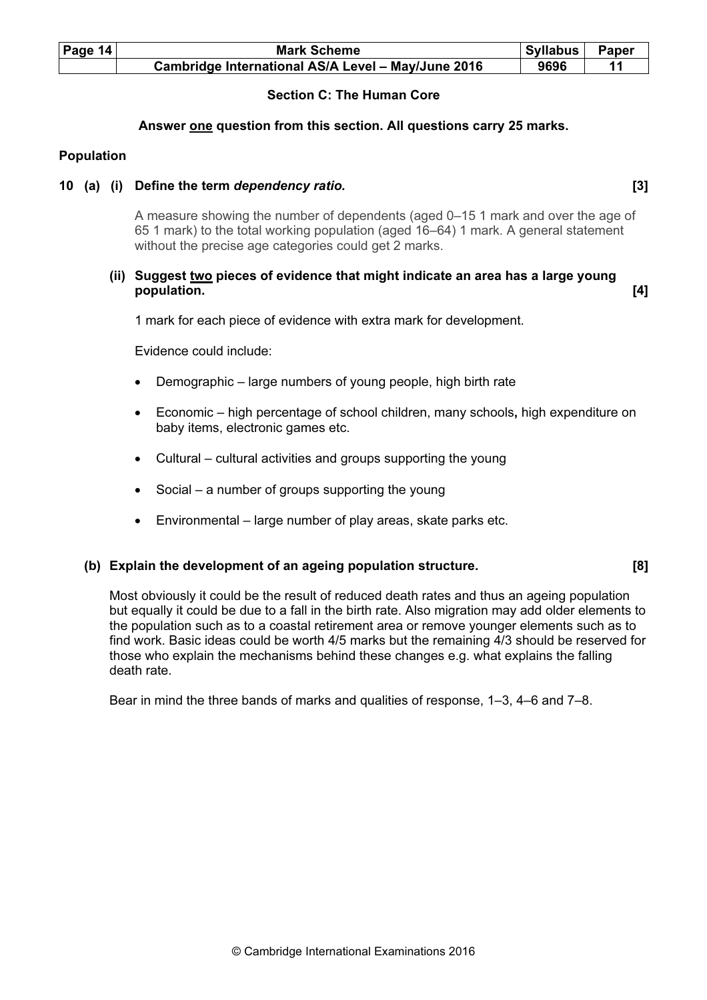| Page $14$ | <b>Mark Scheme</b>                                 | Syllabus | Paper |
|-----------|----------------------------------------------------|----------|-------|
|           | Cambridge International AS/A Level - May/June 2016 | 9696     |       |

## Section C: The Human Core

### Answer one question from this section. All questions carry 25 marks.

### Population

### 10 (a) (i) Define the term dependency ratio. The same state of the state of  $[3]$

A measure showing the number of dependents (aged 0–15 1 mark and over the age of 65 1 mark) to the total working population (aged 16–64) 1 mark. A general statement without the precise age categories could get 2 marks.

### (ii) Suggest two pieces of evidence that might indicate an area has a large young population. [4]

1 mark for each piece of evidence with extra mark for development.

Evidence could include:

- Demographic large numbers of young people, high birth rate
- Economic high percentage of school children, many schools, high expenditure on baby items, electronic games etc.
- Cultural cultural activities and groups supporting the young
- Social a number of groups supporting the young
- Environmental large number of play areas, skate parks etc.

### (b) Explain the development of an ageing population structure. [8]

Most obviously it could be the result of reduced death rates and thus an ageing population but equally it could be due to a fall in the birth rate. Also migration may add older elements to the population such as to a coastal retirement area or remove younger elements such as to find work. Basic ideas could be worth 4/5 marks but the remaining 4/3 should be reserved for those who explain the mechanisms behind these changes e.g. what explains the falling death rate.

Bear in mind the three bands of marks and qualities of response, 1–3, 4–6 and 7–8.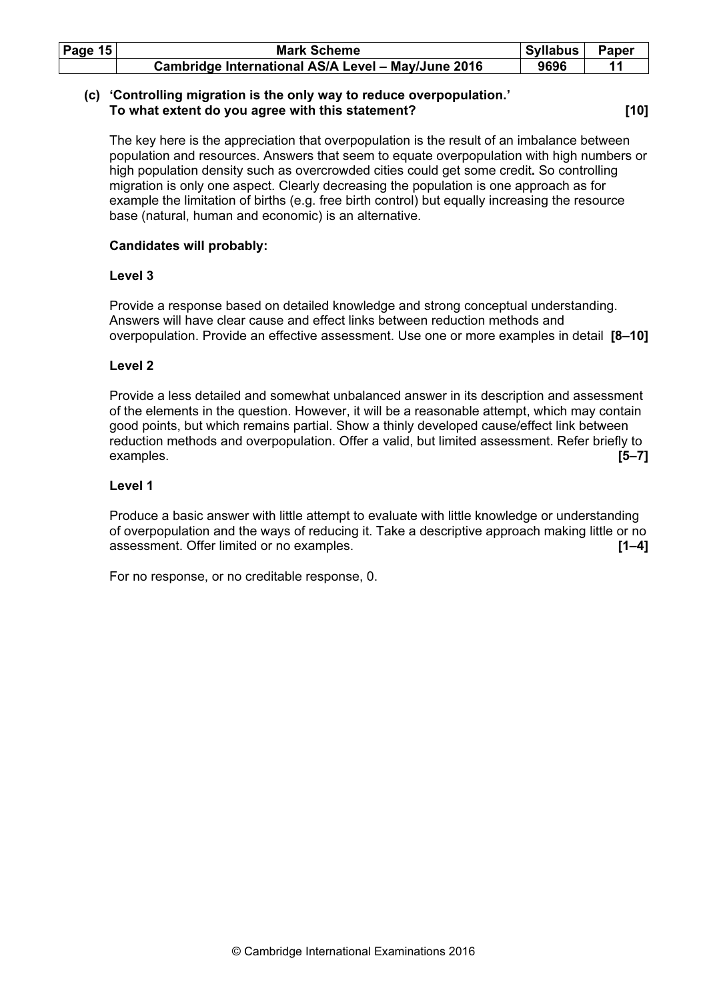| Page $15$ | <b>Mark Scheme</b>                                 | Syllabus | Paper |
|-----------|----------------------------------------------------|----------|-------|
|           | Cambridge International AS/A Level - May/June 2016 | 9696     |       |

## (c) 'Controlling migration is the only way to reduce overpopulation.' To what extent do you agree with this statement? [10]

The key here is the appreciation that overpopulation is the result of an imbalance between population and resources. Answers that seem to equate overpopulation with high numbers or high population density such as overcrowded cities could get some credit. So controlling migration is only one aspect. Clearly decreasing the population is one approach as for example the limitation of births (e.g. free birth control) but equally increasing the resource base (natural, human and economic) is an alternative.

## Candidates will probably:

### Level 3

Provide a response based on detailed knowledge and strong conceptual understanding. Answers will have clear cause and effect links between reduction methods and overpopulation. Provide an effective assessment. Use one or more examples in detail [8–10]

## Level 2

Provide a less detailed and somewhat unbalanced answer in its description and assessment of the elements in the question. However, it will be a reasonable attempt, which may contain good points, but which remains partial. Show a thinly developed cause/effect link between reduction methods and overpopulation. Offer a valid, but limited assessment. Refer briefly to examples. [5–7]

### Level 1

Produce a basic answer with little attempt to evaluate with little knowledge or understanding of overpopulation and the ways of reducing it. Take a descriptive approach making little or no assessment. Offer limited or no examples. **EXAMPLE 1998** 11–41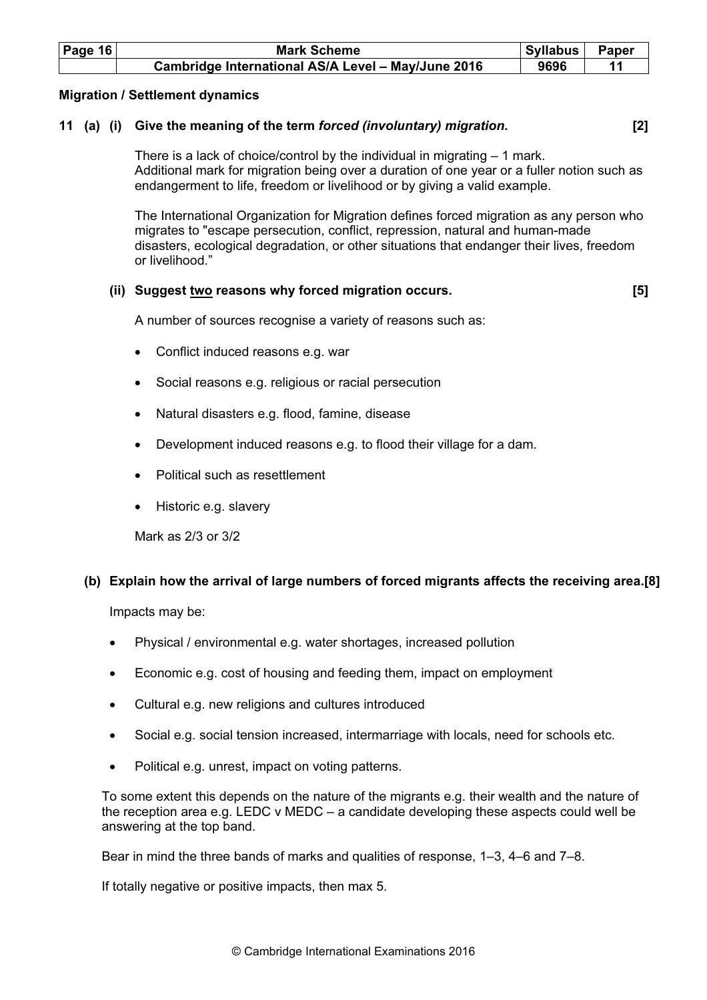| Page $16$ | <b>Mark Scheme</b>                                 | Syllabus | Paper |
|-----------|----------------------------------------------------|----------|-------|
|           | Cambridge International AS/A Level - May/June 2016 | 9696     |       |

### Migration / Settlement dynamics

## 11 (a) (i) Give the meaning of the term forced (involuntary) migration. [2]

There is a lack of choice/control by the individual in migrating – 1 mark. Additional mark for migration being over a duration of one year or a fuller notion such as endangerment to life, freedom or livelihood or by giving a valid example.

The International Organization for Migration defines forced migration as any person who migrates to "escape persecution, conflict, repression, natural and human-made disasters, ecological degradation, or other situations that endanger their lives, freedom or livelihood."

### (ii) Suggest two reasons why forced migration occurs. [5]

A number of sources recognise a variety of reasons such as:

- Conflict induced reasons e.g. war
- Social reasons e.g. religious or racial persecution
- Natural disasters e.g. flood, famine, disease
- Development induced reasons e.g. to flood their village for a dam.
- Political such as resettlement
- Historic e.g. slavery

Mark as 2/3 or 3/2

# (b) Explain how the arrival of large numbers of forced migrants affects the receiving area.[8]

Impacts may be:

- Physical / environmental e.g. water shortages, increased pollution
- Economic e.g. cost of housing and feeding them, impact on employment
- Cultural e.g. new religions and cultures introduced
- Social e.g. social tension increased, intermarriage with locals, need for schools etc.
- Political e.g. unrest, impact on voting patterns.

To some extent this depends on the nature of the migrants e.g. their wealth and the nature of the reception area e.g. LEDC v MEDC – a candidate developing these aspects could well be answering at the top band.

Bear in mind the three bands of marks and qualities of response, 1–3, 4–6 and 7–8.

If totally negative or positive impacts, then max 5.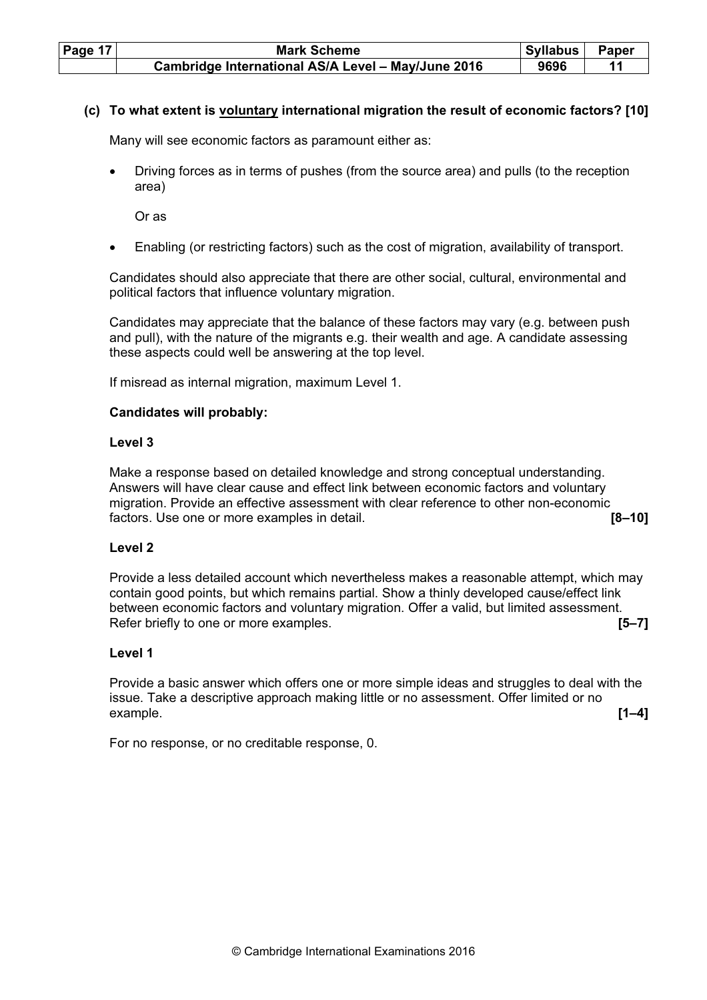| <b>Page 17</b> | <b>Mark Scheme</b>                                 | <b>Syllabus</b> | <b>Paper</b> |
|----------------|----------------------------------------------------|-----------------|--------------|
|                | Cambridge International AS/A Level - May/June 2016 | 9696            |              |

### (c) To what extent is voluntary international migration the result of economic factors? [10]

Many will see economic factors as paramount either as:

• Driving forces as in terms of pushes (from the source area) and pulls (to the reception area)

Or as

• Enabling (or restricting factors) such as the cost of migration, availability of transport.

Candidates should also appreciate that there are other social, cultural, environmental and political factors that influence voluntary migration.

Candidates may appreciate that the balance of these factors may vary (e.g. between push and pull), with the nature of the migrants e.g. their wealth and age. A candidate assessing these aspects could well be answering at the top level.

If misread as internal migration, maximum Level 1.

### Candidates will probably:

### Level 3

Make a response based on detailed knowledge and strong conceptual understanding. Answers will have clear cause and effect link between economic factors and voluntary migration. Provide an effective assessment with clear reference to other non-economic factors. Use one or more examples in detail. **Examples** 10 and 10 and 10 and 10 and 10 and 10 and 10 and 10 and 10 and 10 and 10 and 10 and 10 and 10 and 10 and 10 and 10 and 10 and 10 and 10 and 10 and 10 and 10 and 10 an

### Level 2

Provide a less detailed account which nevertheless makes a reasonable attempt, which may contain good points, but which remains partial. Show a thinly developed cause/effect link between economic factors and voluntary migration. Offer a valid, but limited assessment. Refer briefly to one or more examples. **EXAMPLE 2008 Reference 15–71 15–71** 

### Level 1

Provide a basic answer which offers one or more simple ideas and struggles to deal with the issue. Take a descriptive approach making little or no assessment. Offer limited or no example.  $[1-4]$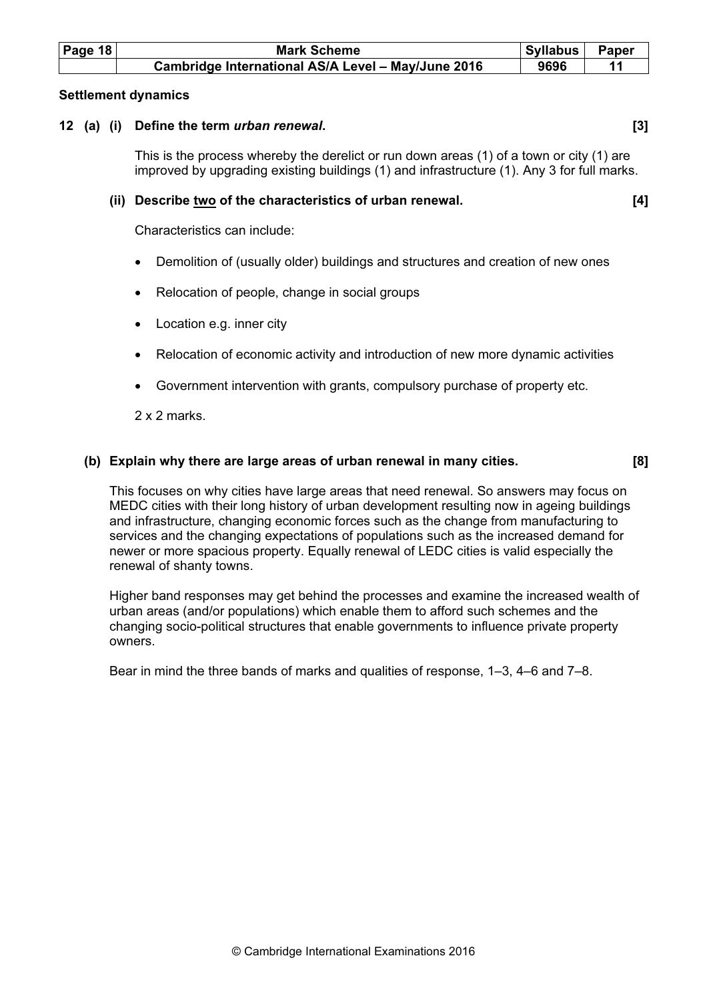| Page 18 | <b>Mark Scheme</b>                                 | ∣ Syllabus I | Paper |  |
|---------|----------------------------------------------------|--------------|-------|--|
|         | Cambridge International AS/A Level - May/June 2016 | 9696         |       |  |

### Settlement dynamics

### 12 (a) (i) Define the term *urban renewal*. [3] [3]

This is the process whereby the derelict or run down areas (1) of a town or city (1) are improved by upgrading existing buildings (1) and infrastructure (1). Any 3 for full marks.

### (ii) Describe two of the characteristics of urban renewal. [4]

Characteristics can include:

- Demolition of (usually older) buildings and structures and creation of new ones
- Relocation of people, change in social groups
- Location e.g. inner city
- Relocation of economic activity and introduction of new more dynamic activities
- Government intervention with grants, compulsory purchase of property etc.

2 x 2 marks.

### (b) Explain why there are large areas of urban renewal in many cities. [8]

This focuses on why cities have large areas that need renewal. So answers may focus on MEDC cities with their long history of urban development resulting now in ageing buildings and infrastructure, changing economic forces such as the change from manufacturing to services and the changing expectations of populations such as the increased demand for newer or more spacious property. Equally renewal of LEDC cities is valid especially the renewal of shanty towns.

Higher band responses may get behind the processes and examine the increased wealth of urban areas (and/or populations) which enable them to afford such schemes and the changing socio-political structures that enable governments to influence private property owners.

Bear in mind the three bands of marks and qualities of response, 1–3, 4–6 and 7–8.